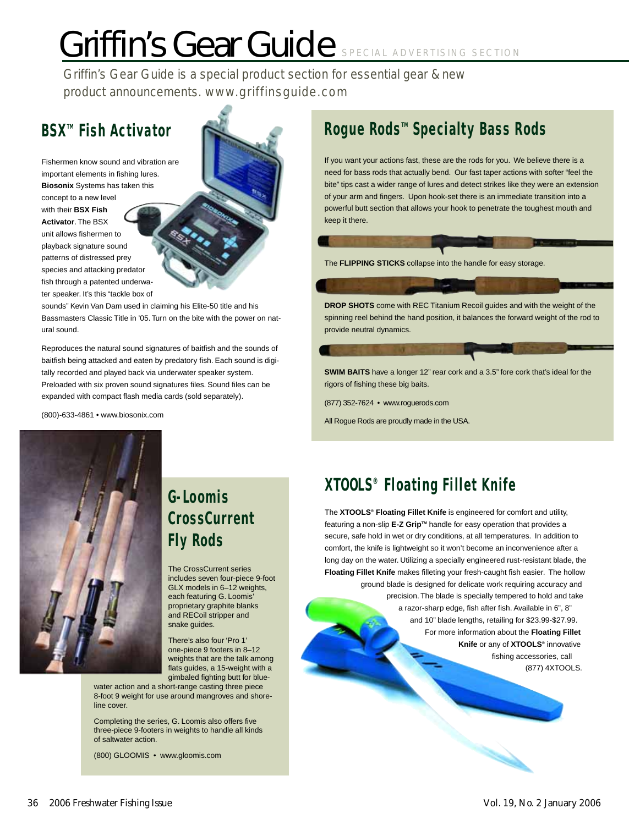# Griffin's Gear Guide SPECIAL ADVERTISING SECTION

Griffin's Gear Guide is a special product section for essential gear & new product announcements. www.griffinsguide.com

## **BSXTM Fish Activator**

Fishermen know sound and vibration are important elements in fishing lures. **Biosonix** Systems has taken this concept to a new level with their **BSX Fish Activator**. The BSX unit allows fishermen to playback signature sound patterns of distressed prey species and attacking predator fish through a patented underwater speaker. It's this "tackle box of

sounds" Kevin Van Dam used in claiming his Elite-50 title and his Bassmasters Classic Title in '05. Turn on the bite with the power on natural sound.

Reproduces the natural sound signatures of baitfish and the sounds of baitfish being attacked and eaten by predatory fish. Each sound is digitally recorded and played back via underwater speaker system. Preloaded with six proven sound signatures files. Sound files can be expanded with compact flash media cards (sold separately).

(800)-633-4861 • www.biosonix.com

## **Rogue Rods<sup>™</sup> Specialty Bass Rods**

If you want your actions fast, these are the rods for you. We believe there is a need for bass rods that actually bend. Our fast taper actions with softer "feel the bite" tips cast a wider range of lures and detect strikes like they were an extension of your arm and fingers. Upon hook-set there is an immediate transition into a powerful butt section that allows your hook to penetrate the toughest mouth and keep it there.

The **FLIPPING STICKS** collapse into the handle for easy storage.

**DROP SHOTS** come with REC Titanium Recoil guides and with the weight of the spinning reel behind the hand position, it balances the forward weight of the rod to provide neutral dynamics.

**SWIM BAITS** have a longer 12" rear cork and a 3.5" fore cork that's ideal for the rigors of fishing these big baits.

(877) 352-7624 • www.roguerods.com

All Rogue Rods are proudly made in the USA.



## **G-Loomis CrossCurrent Fly Rods**

The CrossCurrent series includes seven four-piece 9-foot GLX models in 6–12 weights, each featuring G. Loomis' proprietary graphite blanks and RECoil stripper and snake guides.

There's also four 'Pro 1' one-piece 9 footers in 8–12 weights that are the talk among flats guides, a 15-weight with a gimbaled fighting butt for blue-

water action and a short-range casting three piece 8-foot 9 weight for use around mangroves and shoreline cover.

Completing the series, G. Loomis also offers five three-piece 9-footers in weights to handle all kinds of saltwater action.

(800) GLOOMIS • www.gloomis.com

## **XTOOLS® Floating Fillet Knife**

The **XTOOLS® Floating Fillet Knife** is engineered for comfort and utility, featuring a non-slip **E-Z Grip**<sup>™</sup> handle for easy operation that provides a secure, safe hold in wet or dry conditions, at all temperatures. In addition to comfort, the knife is lightweight so it won't become an inconvenience after a long day on the water. Utilizing a specially engineered rust-resistant blade, the **Floating Fillet Knife** makes filleting your fresh-caught fish easier. The hollow ground blade is designed for delicate work requiring accuracy and precision. The blade is specially tempered to hold and take a razor-sharp edge, fish after fish. Available in 6", 8" and 10" blade lengths, retailing for \$23.99-\$27.99. For more information about the **Floating Fillet Knife** or any of **XTOOLS®** innovative fishing accessories, call (877) 4XTOOLS.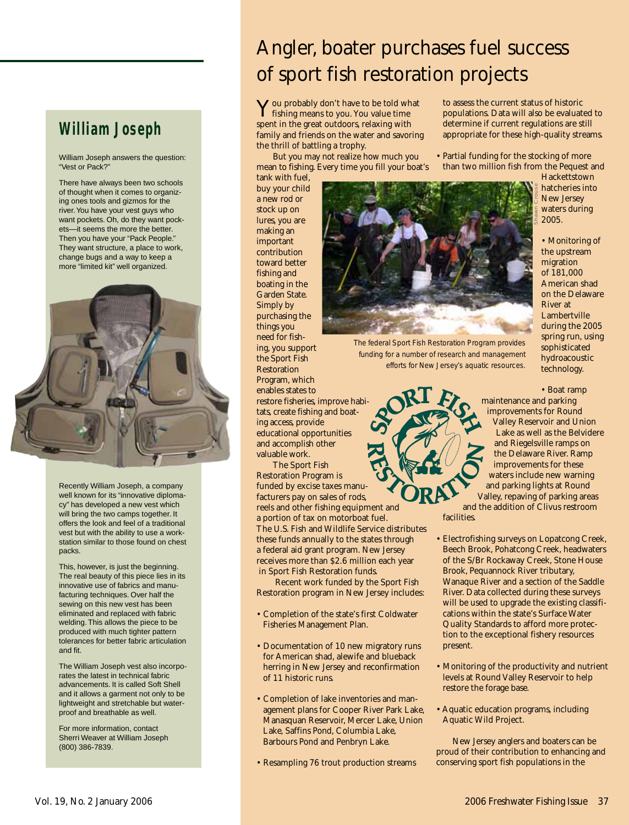### **William Joseph**

William Joseph answers the question: "Vest or Pack?"

There have always been two schools of thought when it comes to organizing ones tools and gizmos for the river. You have your vest guys who want pockets. Oh, do they want pockets—it seems the more the better. Then you have your "Pack People." They want structure, a place to work, change bugs and a way to keep a more "limited kit" well organized.



Recently William Joseph, a company well known for its "innovative diplomacy" has developed a new vest which will bring the two camps together. It offers the look and feel of a traditional vest but with the ability to use a workstation similar to those found on chest packs.

This, however, is just the beginning. The real beauty of this piece lies in its innovative use of fabrics and manufacturing techniques. Over half the sewing on this new vest has been eliminated and replaced with fabric welding. This allows the piece to be produced with much tighter pattern tolerances for better fabric articulation and fit.

The William Joseph vest also incorporates the latest in technical fabric advancements. It is called Soft Shell and it allows a garment not only to be lightweight and stretchable but waterproof and breathable as well.

For more information, contact Sherri Weaver at William Joseph (800) 386-7839.

## Angler, boater purchases fuel success of sport fish restoration projects

You probably don't have to be told what fishing means to you. You value time spent in the great outdoors, relaxing with family and friends on the water and savoring the thrill of battling a trophy.

But you may not realize how much you mean to fishing. Every time you fill your boat's to assess the current status of historic populations. Data will also be evaluated to determine if current regulations are still appropriate for these high-quality streams.

• Partial funding for the stocking of more than two million fish from the Pequest and **Hackettstown** 

Shawn Crouse

tank with fuel, buy your child a new rod or stock up on lures, you are making an important contribution toward better fishing and boating in the Garden State. Simply by purchasing the things you need for fishing, you support the Sport Fish Restoration Program, which enables states to restore fisheries, improve habitats, create fishing and boating access, provide educational opportunities and accomplish other

valuable work. The Sport Fish Restoration Program is funded by excise taxes manufacturers pay on sales of rods, reels and other fishing equipment and a portion of tax on motorboat fuel.



*The federal Sport Fish Restoration Program provides funding for a number of research and management efforts for New Jersey's aquatic resources.*

the upstream migration of 181,000 American shad on the Delaware River at Lambertville during the 2005 spring run, using sophisticated

hatcheries into New Jersey waters during 2005.

• Monitoring of

• Boat ramp

hydroacoustic technology.

maintenance and parking improvements for Round Valley Reservoir and Union Lake as well as the Belvidere and Riegelsville ramps on the Delaware River. Ramp improvements for these waters include new warning and parking lights at Round Valley, repaving of parking areas and the addition of Clivus restroom facilities.

- Electrofishing surveys on Lopatcong Creek, Beech Brook, Pohatcong Creek, headwaters of the S/Br Rockaway Creek, Stone House Brook, Pequannock River tributary, Wanaque River and a section of the Saddle River. Data collected during these surveys will be used to upgrade the existing classifications within the state's Surface Water Quality Standards to afford more protection to the exceptional fishery resources present.
- Monitoring of the productivity and nutrient levels at Round Valley Reservoir to help restore the forage base.
- Aquatic education programs, including Aquatic Wild Project.

New Jersey anglers and boaters can be proud of their contribution to enhancing and conserving sport fish populations in the

Barbours Pond and Penbryn Lake. • Resampling 76 trout production streams

The U.S. Fish and Wildlife Service distributes these funds annually to the states through a federal aid grant program. New Jersey receives more than \$2.6 million each year in Sport Fish Restoration funds.

Recent work funded by the Sport Fish Restoration program in New Jersey includes: • Completion of the state's first Coldwater

• Documentation of 10 new migratory runs for American shad, alewife and blueback herring in New Jersey and reconfirmation

• Completion of lake inventories and management plans for Cooper River Park Lake, Manasquan Reservoir, Mercer Lake, Union Lake, Saffins Pond, Columbia Lake,

Fisheries Management Plan.

of 11 historic runs.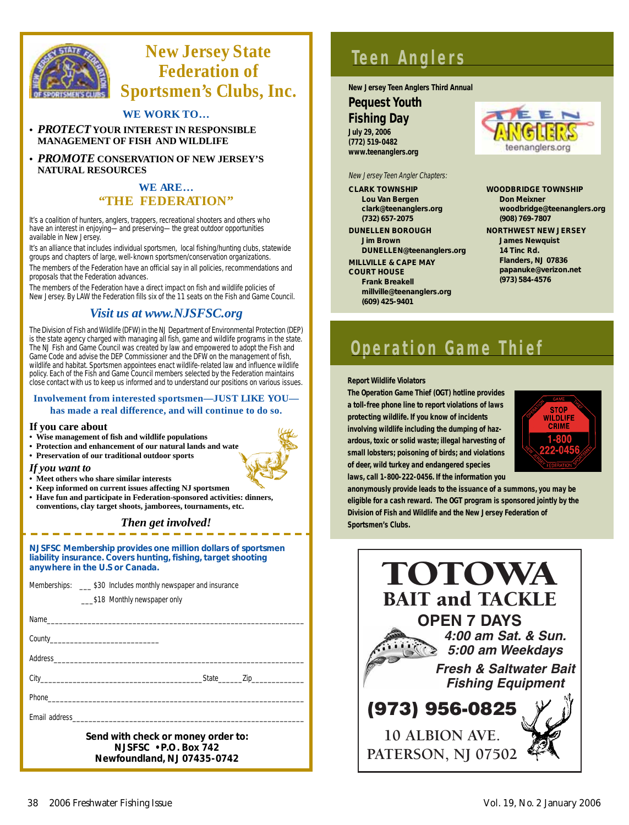

## **New Jersey State Federation of Sportsmen's Clubs, Inc.**

#### **WE WORK TO…**

**•** *PROTECT* **YOUR INTEREST IN RESPONSIBLE MANAGEMENT OF FISH AND WILDLIFE**

**•** *PROMOTE* **CONSERVATION OF NEW JERSEY'S NATURAL RESOURCES**

#### **WE ARE… "THE FEDERATION"**

It's a coalition of hunters, anglers, trappers, recreational shooters and others who have an interest in enjoying—and preserving—the great outdoor opportunities available in New Jersey.

It's an alliance that includes individual sportsmen, local fishing/hunting clubs, statewide groups and chapters of large, well-known sportsmen/conservation organizations.

The members of the Federation have an official say in all policies, recommendations and proposals that the Federation advances.

The members of the Federation have a direct impact on fish and wildlife policies of New Jersey. By LAW the Federation fills six of the 11 seats on the Fish and Game Council.

#### *Visit us at www.NJSFSC.org*

The Division of Fish and Wildlife (DFW) in the NJ Department of Environmental Protection (DEP) is the state agency charged with managing all fish, game and wildlife programs in the state. The NJ Fish and Game Council was created by law and empowered to adopt the Fish and Game Code and advise the DEP Commissioner and the DFW on the management of fish, wildlife and habitat. Sportsmen appointees enact wildlife-related law and influence wildlife policy. Each of the Fish and Game Council members selected by the Federation maintains close contact with us to keep us informed and to understand our positions on various issues.

#### **Involvement from interested sportsmen—JUST LIKE YOU has made a real difference, and will continue to do so.**

#### **If you care about**

- **Wise management of fish and wildlife populations**
- Protection and enhancement of our natural lands and wate
- **Preservation of our traditional outdoor sports**

#### *If you want to*

- **Meet others who share similar interests**
- **Keep informed on current issues affecting NJ sportsmen**
- **Have fun and participate in Federation-sponsored activities: dinners, conventions, clay target shoots, jamborees, tournaments, etc.**

#### *Then get involved!*

#### *NJSFSC Membership provides one million dollars of sportsmen liability insurance. Covers hunting, fishing, target shooting anywhere in the U.S or Canada.*

| Memberships: ____ \$30 Includes monthly newspaper and insurance |
|-----------------------------------------------------------------|
| \$18 Monthly newspaper only                                     |
|                                                                 |
|                                                                 |
|                                                                 |
| City State Zip                                                  |
|                                                                 |
|                                                                 |
| Send with check or money order to:                              |

*Send with check or money order to: NJSFSC • P.O. Box 742 Newfoundland, NJ 07435-0742*

## **Teen Anglers**

**New Jersey Teen Anglers Third Annual** 

#### **Pequest Youth**

**Fishing Day** 

**July 29, 2006**

**(772) 519-0482 www.teenanglers.org**

New Jersey Teen Angler Chapters:

**CLARK TOWNSHIP Lou Van Bergen clark@teenanglers.org (732) 657-2075**

**DUNELLEN BOROUGH Jim Brown DUNELLEN@teenanglers.org**

**MILLVILLE & CAPE MAY COURT HOUSE Frank Breakell** 

**millville@teenanglers.org (609) 425-9401**



**WOODBRIDGE TOWNSHIP Don Meixner woodbridge@teenanglers.org (908) 769-7807 NORTHWEST NEW JERSEY James Newquist 14 Tinc Rd. Flanders, NJ 07836 papanuke@verizon.net (973) 584-4576**

## **Operation Game Thief**

#### **Report Wildlife Violators**

**The Operation Game Thief (OGT) hotline provides a toll-free phone line to report violations of laws protecting wildlife. If you know of incidents involving wildlife including the dumping of hazardous, toxic or solid waste; illegal harvesting of small lobsters; poisoning of birds; and violations of deer, wild turkey and endangered species laws, call 1-800-222-0456. If the information you**



**anonymously provide leads to the issuance of a summons, you may be eligible for a cash reward. The OGT program is sponsored jointly by the Division of Fish and Wildlife and the New Jersey Federation of Sportsmen's Clubs.**

| <b>TOTOWA</b>                     |
|-----------------------------------|
| <b>BAIT and TACKLE</b>            |
| <b>OPEN 7 DAYS</b>                |
| 4:00 am Sat. & Sun.               |
| 5:00 am Weekdays                  |
| <b>Fresh &amp; Saltwater Bait</b> |
| <b>Fishing Equipment</b>          |
| (973) 956-0825                    |
| <b>10 ALBION AVE.</b>             |
| PATERSON, NJ 07502                |
|                                   |

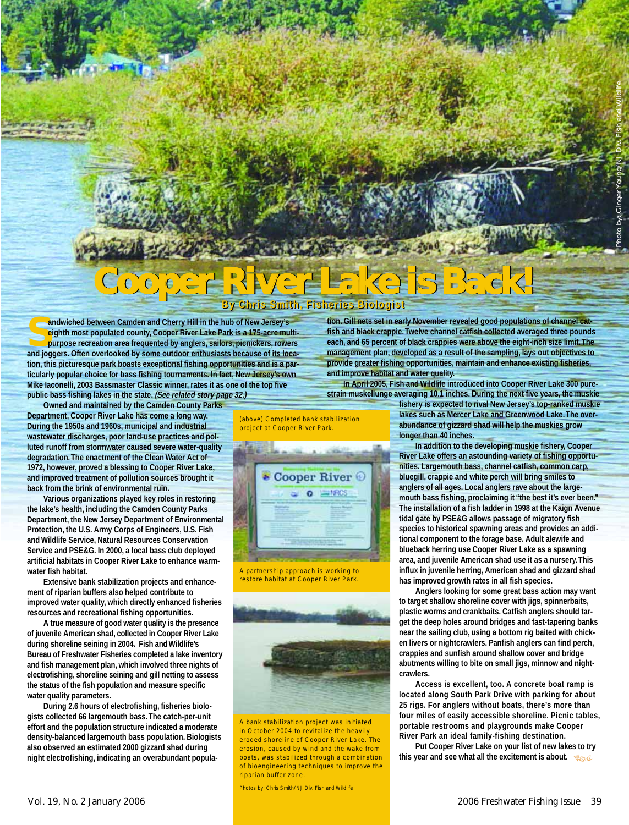## **Cooper River Lake is Back! By Chris Smith, Fisheries Biologist By Chris Smith, Fisheries Biologist**

**Sandwiched between Camden and Cherry Hill in the hub of New Jersey's eighth most populated county, Cooper River Lake Park is a 175-acre multipurpose recreation area frequented by anglers, sailors, picnickers, rowers and joggers. Often overlooked by some outdoor enthusiasts because of its location, this picturesque park boasts exceptional fishing opportunities and is a particularly popular choice for bass fishing tournaments. In fact, New Jersey's own Mike Iaconelli, 2003 Bassmaster Classic winner, rates it as one of the top five public bass fishing lakes in the state. (See related story page 32.)**

**Owned and maintained by the Camden County Parks Department, Cooper River Lake has come a long way. During the 1950s and 1960s, municipal and industrial wastewater discharges, poor land-use practices and polluted runoff from stormwater caused severe water-quality degradation.The enactment of the Clean Water Act of 1972, however, proved a blessing to Cooper River Lake, and improved treatment of pollution sources brought it back from the brink of environmental ruin.**

**Various organizations played key roles in restoring the lake's health, including the Camden County Parks Department, the New Jersey Department of Environmental Protection, the U.S. Army Corps of Engineers, U.S. Fish and Wildlife Service, Natural Resources Conservation Service and PSE&G. In 2000, a local bass club deployed artificial habitats in Cooper River Lake to enhance warmwater fish habitat.**

**Extensive bank stabilization projects and enhancement of riparian buffers also helped contribute to improved water quality, which directly enhanced fisheries resources and recreational fishing opportunities.**

**A true measure of good water quality is the presence of juvenile American shad, collected in Cooper River Lake during shoreline seining in 2004. Fish and Wildlife's Bureau of Freshwater Fisheries completed a lake inventory and fish management plan, which involved three nights of electrofishing, shoreline seining and gill netting to assess the status of the fish population and measure specific water quality parameters.**

**During 2.6 hours of electrofishing, fisheries biologists collected 66 largemouth bass.The catch-per-unit effort and the population structure indicated a moderate density-balanced largemouth bass population. Biologists also observed an estimated 2000 gizzard shad during night electrofishing, indicating an overabundant popula-** **tion. Gill nets set in early November revealed good populations of channel catfish and black crappie.Twelve channel catfish collected averaged three pounds each, and 65 percent of black crappies were above the eight-inch size limit.The management plan, developed as a result of the sampling, lays out objectives to provide greater fishing opportunities, maintain and enhance existing fisheries, and improve habitat and water quality.**

**In April 2005, Fish and Wildlife introduced into Cooper River Lake 300 purestrain muskellunge averaging 10.1 inches. During the next five years, the muskie**

**fishery is expected to rival New Jersey's top-ranked muskie lakes such as Mercer Lake and Greenwood Lake.The overabundance of gizzard shad will help the muskies grow longer than 40 inches.**

**In addition to the developing muskie fishery, Cooper River Lake offers an astounding variety of fishing opportunities. Largemouth bass, channel catfish, common carp, bluegill, crappie and white perch will bring smiles to anglers of all ages. Local anglers rave about the largemouth bass fishing, proclaiming it "the best it's ever been." The installation of a fish ladder in 1998 at the Kaign Avenue tidal gate by PSE&G allows passage of migratory fish species to historical spawning areas and provides an additional component to the forage base. Adult alewife and blueback herring use Cooper River Lake as a spawning area, and juvenile American shad use it as a nursery.This influx in juvenile herring, American shad and gizzard shad has improved growth rates in all fish species.**

**Anglers looking for some great bass action may want to target shallow shoreline cover with jigs, spinnerbaits, plastic worms and crankbaits. Catfish anglers should target the deep holes around bridges and fast-tapering banks near the sailing club, using a bottom rig baited with chicken livers or nightcrawlers. Panfish anglers can find perch, crappies and sunfish around shallow cover and bridge abutments willing to bite on small jigs, minnow and nightcrawlers.**

**Access is excellent, too. A concrete boat ramp is located along South Park Drive with parking for about 25 rigs. For anglers without boats, there's more than four miles of easily accessible shoreline. Picnic tables, portable restrooms and playgrounds make Cooper River Park an ideal family-fishing destination.**

**Put Cooper River Lake on your list of new lakes to try this year and see what all the excitement is about.** &



(above) Completed bank stabilization project at Cooper River Park.

A partnership approach is working to restore habitat at Cooper River Park.



A bank stabilization project was initiated in October 2004 to revitalize the heavily eroded shoreline of Cooper River Lake. The erosion, caused by wind and the wake from boats, was stabilized through a combination of bioengineering techniques to improve the riparian buffer zone.

Photos by: Chris Smith/NJ Div. Fish and Wildlife

Photo by: Ginger Young/NJ Div. Fish and Wildlife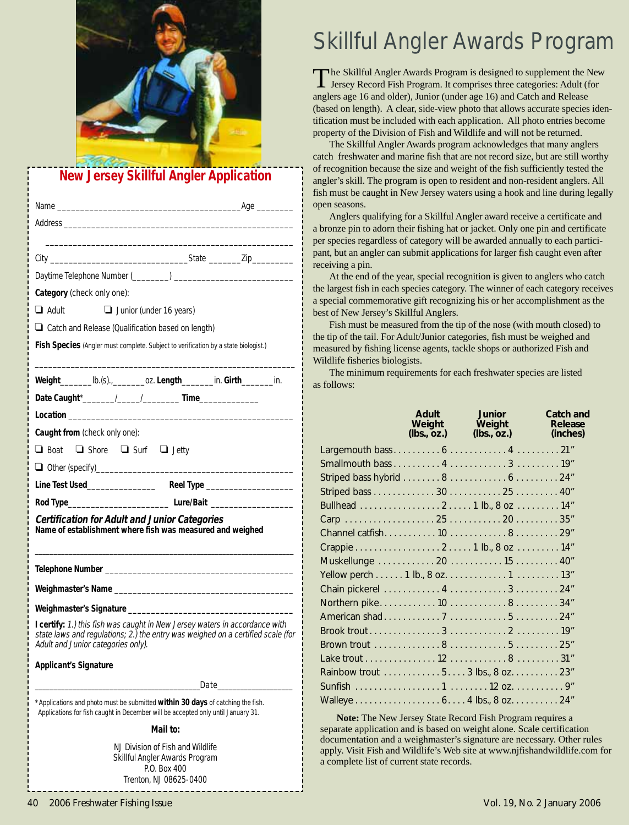

### **New Jersey Skillful Angler Application**

| Category (check only one):                                                                                                                                                                           |
|------------------------------------------------------------------------------------------------------------------------------------------------------------------------------------------------------|
| $\Box$ Adult $\Box$ Junior (under 16 years)                                                                                                                                                          |
| $\Box$ Catch and Release (Qualification based on length)                                                                                                                                             |
| Fish Species (Angler must complete. Subject to verification by a state biologist.)                                                                                                                   |
|                                                                                                                                                                                                      |
| Weight____________ lb.(s).,_____________oz. Length___________ in. Girth__________ in.                                                                                                                |
|                                                                                                                                                                                                      |
|                                                                                                                                                                                                      |
| Caught from (check only one):                                                                                                                                                                        |
| □ Boat □ Shore □ Surf □ Jetty                                                                                                                                                                        |
|                                                                                                                                                                                                      |
|                                                                                                                                                                                                      |
|                                                                                                                                                                                                      |
| <b>Certification for Adult and Junior Categories</b><br>Name of establishment where fish was measured and weighed                                                                                    |
|                                                                                                                                                                                                      |
|                                                                                                                                                                                                      |
|                                                                                                                                                                                                      |
| I certify: 1.) this fish was caught in New Jersey waters in accordance with<br>state laws and regulations; 2.) the entry was weighed on a certified scale (for<br>Adult and Junior categories only). |
| <b>Applicant's Signature</b>                                                                                                                                                                         |
| Date_                                                                                                                                                                                                |
| * Applications and photo must be submitted within 30 days of catching the fish.<br>Applications for fish caught in December will be accepted only until January 31.                                  |
| Mail to:                                                                                                                                                                                             |
| NJ Division of Fish and Wildlife<br>Skillful Angler Awards Program<br>P.O. Box 400<br>Trenton, NJ 08625-0400                                                                                         |

## Skillful Angler Awards Program

The Skillful Angler Awards Program is designed to supplement the New Jersey Record Fish Program. It comprises three categories: Adult (for anglers age 16 and older), Junior (under age 16) and Catch and Release (based on length). A clear, side-view photo that allows accurate species identification must be included with each application. All photo entries become property of the Division of Fish and Wildlife and will not be returned.

The Skillful Angler Awards program acknowledges that many anglers catch freshwater and marine fish that are not record size, but are still worthy of recognition because the size and weight of the fish sufficiently tested the angler's skill. The program is open to resident and non-resident anglers. All fish must be caught in New Jersey waters using a hook and line during legally open seasons.

Anglers qualifying for a Skillful Angler award receive a certificate and a bronze pin to adorn their fishing hat or jacket. Only one pin and certificate per species regardless of category will be awarded annually to each participant, but an angler can submit applications for larger fish caught even after receiving a pin.

At the end of the year, special recognition is given to anglers who catch the largest fish in each species category. The winner of each category receives a special commemorative gift recognizing his or her accomplishment as the best of New Jersey's Skillful Anglers.

Fish must be measured from the tip of the nose (with mouth closed) to the tip of the tail. For Adult/Junior categories, fish must be weighed and measured by fishing license agents, tackle shops or authorized Fish and Wildlife fisheries biologists.

The minimum requirements for each freshwater species are listed as follows:

|                                    | Adult<br>(lbs., oz.) | <b>Junior</b><br>Weight Weight<br>(lbs., oz.) | Catch and<br>Release<br>(inches) |
|------------------------------------|----------------------|-----------------------------------------------|----------------------------------|
|                                    |                      |                                               |                                  |
|                                    |                      |                                               |                                  |
|                                    |                      |                                               |                                  |
|                                    |                      |                                               |                                  |
|                                    |                      |                                               |                                  |
|                                    |                      |                                               |                                  |
|                                    |                      |                                               |                                  |
|                                    |                      |                                               |                                  |
| Muskellunge  20  15  40"           |                      |                                               |                                  |
|                                    |                      |                                               |                                  |
|                                    |                      |                                               |                                  |
|                                    |                      |                                               |                                  |
|                                    |                      |                                               |                                  |
|                                    |                      |                                               |                                  |
|                                    |                      |                                               |                                  |
|                                    |                      |                                               |                                  |
| Rainbow trout 5. 3 lbs., 8 oz. 23" |                      |                                               |                                  |
| Sunfish 1 12 oz. 9"                |                      |                                               |                                  |
| Walleye 6. 4 lbs., 8 oz. 24"       |                      |                                               |                                  |
|                                    |                      |                                               |                                  |

**Note:** The New Jersey State Record Fish Program requires a separate application and is based on weight alone. Scale certification documentation and a weighmaster's signature are necessary. Other rules apply. Visit Fish and Wildlife's Web site at www.njfishandwildlife.com for a complete list of current state records.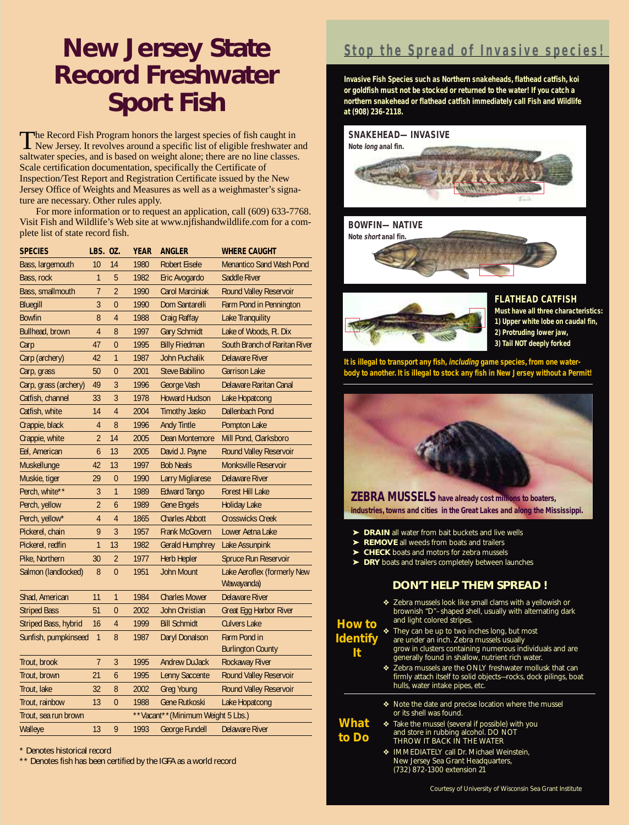## **New Jersey State Record Freshwater Sport Fish**

The Record Fish Program honors the largest species of fish caught in<br>New Jersey. It revolves around a specific list of eligible freshwater and saltwater species, and is based on weight alone; there are no line classes. Scale certification documentation, specifically the Certificate of Inspection/Test Report and Registration Certificate issued by the New Jersey Office of Weights and Measures as well as a weighmaster's signature are necessary. Other rules apply.

For more information or to request an application, call (609) 633-7768. Visit Fish and Wildlife's Web site at www.njfishandwildlife.com for a complete list of state record fish.

| <b>SPECIES</b>        | LBS. 0Z.                          |                | <b>YEAR</b> | <b>ANGLER</b>           | <b>WHERE CAUGHT</b>             |
|-----------------------|-----------------------------------|----------------|-------------|-------------------------|---------------------------------|
| Bass, largemouth      | 10                                | 14             | 1980        | <b>Robert Eisele</b>    | <b>Menantico Sand Wash Pond</b> |
| Bass, rock            | 1                                 | 5              | 1982        | Eric Avogardo           | Saddle River                    |
| Bass, smallmouth      | 7                                 | $\overline{2}$ | 1990        | <b>Carol Marciniak</b>  | <b>Round Valley Reservoir</b>   |
| <b>Bluegill</b>       | $\overline{3}$                    | $\overline{0}$ | 1990        | Dom Santarelli          | Farm Pond in Pennington         |
| <b>Bowfin</b>         | 8                                 | 4              | 1988        | <b>Craig Raffay</b>     | Lake Tranquility                |
| Bullhead, brown       | $\overline{4}$                    | 8              | 1997        | <b>Gary Schmidt</b>     | Lake of Woods, Ft. Dix          |
| Carp                  | 47                                | $\overline{0}$ | 1995        | <b>Billy Friedman</b>   | South Branch of Raritan River   |
| Carp (archery)        | 42                                | 1              | 1987        | <b>John Puchalik</b>    | <b>Delaware River</b>           |
| Carp, grass           | 50                                | 0              | 2001        | <b>Steve Babilino</b>   | <b>Garrison Lake</b>            |
| Carp, grass (archery) | 49                                | 3              | 1996        | George Vash             | Delaware Raritan Canal          |
| Catfish, channel      | 33                                | 3              | 1978        | <b>Howard Hudson</b>    | Lake Hopatcong                  |
| Catfish, white        | 14                                | 4              | 2004        | <b>Timothy Jasko</b>    | Dallenbach Pond                 |
| Crappie, black        | 4                                 | 8              | 1996        | <b>Andy Tintle</b>      | Pompton Lake                    |
| Crappie, white        | $\overline{2}$                    | 14             | 2005        | Dean Montemore          | Mill Pond, Clarksboro           |
| Eel, American         | 6                                 | 13             | 2005        | David J. Payne          | Round Valley Reservoir          |
| <b>Muskellunge</b>    | 42                                | 13             | 1997        | <b>Bob Neals</b>        | <b>Monksville Reservoir</b>     |
| Muskie, tiger         | 29                                | $\overline{0}$ | 1990        | <b>Larry Migliarese</b> | <b>Delaware River</b>           |
| Perch, white**        | 3                                 | $\overline{1}$ | 1989        | <b>Edward Tango</b>     | <b>Forest Hill Lake</b>         |
| Perch, yellow         | $\overline{2}$                    | 6              | 1989        | <b>Gene Engels</b>      | <b>Holiday Lake</b>             |
| Perch, yellow*        | 4                                 | 4              | 1865        | <b>Charles Abbott</b>   | <b>Crosswicks Creek</b>         |
| Pickerel, chain       | 9                                 | $\overline{3}$ | 1957        | <b>Frank McGovern</b>   | Lower Aetna Lake                |
| Pickerel, redfin      | $\overline{1}$                    | 13             | 1982        | <b>Gerald Humphrey</b>  | Lake Assunpink                  |
| Pike, Northern        | 30                                | $\overline{2}$ | 1977        | <b>Herb Hepler</b>      | <b>Spruce Run Reservoir</b>     |
| Salmon (landlocked)   | 8                                 | $\overline{0}$ | 1951        | <b>John Mount</b>       | Lake Aeroflex (formerly New     |
|                       |                                   |                |             |                         | Wawayanda)                      |
| Shad, American        | 11                                | 1              | 1984        | <b>Charles Mower</b>    | <b>Delaware River</b>           |
| <b>Striped Bass</b>   | 51                                | $\overline{0}$ | 2002        | <b>John Christian</b>   | Great Egg Harbor River          |
| Striped Bass, hybrid  | 16                                | $\overline{4}$ | 1999        | <b>Bill Schmidt</b>     | <b>Culvers Lake</b>             |
| Sunfish, pumpkinseed  | $\mathbf{1}$                      | 8              | 1987        | Daryl Donalson          | Farm Pond in                    |
|                       |                                   |                |             |                         | <b>Burlington County</b>        |
| Trout, brook          | $\overline{7}$                    | 3              | 1995        | <b>Andrew DuJack</b>    | <b>Rockaway River</b>           |
| Trout, brown          | 21                                | 6              | 1995        | <b>Lenny Saccente</b>   | Round Valley Reservoir          |
| Trout, lake           | 32                                | 8              | 2002        | <b>Greg Young</b>       | <b>Round Valley Reservoir</b>   |
| Trout, rainbow        | 13                                | $\overline{0}$ | 1988        | <b>Gene Rutkoski</b>    | Lake Hopatcong                  |
| Trout, sea run brown  | **Vacant**(Minimum Weight 5 Lbs.) |                |             |                         |                                 |
| Walleye               | 13                                | 9              | 1993        | <b>George Fundell</b>   | <b>Delaware River</b>           |

\* Denotes historical record

\*\* Denotes fish has been certified by the IGFA as a world record

### **Stop the Spread of Invasive species!**

**Invasive Fish Species such as Northern snakeheads, flathead catfish, koi or goldfish must not be stocked or returned to the water! If you catch a northern snakehead or flathead catfish immediately call Fish and Wildlife at (908) 236-2118.**







**FLATHEAD CATFISH**

**Must have all three characteristics: 1) Upper white lobe on caudal fin, 2) Protruding lower jaw, 3) Tail NOT deeply forked**

**It is illegal to transport any fish, including game species, from one waterbody to another. It is illegal to stock any fish in New Jersey without a Permit!**



**ZEBRA MUSSELShave already cost millions to boaters, industries, towns and cities in the Great Lakes and along the Mississippi.**

- ➤ **DRAIN** all water from bait buckets and live wells
- ➤ **REMOVE** all weeds from boats and trailers
- ➤ **CHECK** boats and motors for zebra mussels
- ➤ **DRY** boats and trailers completely between launches

#### **DON'T HELP THEM SPREAD !**

- ❖ Zebra mussels look like small clams with a yellowish or brownish "D"–shaped shell, usually with alternating dark and light colored stripes.
- *How to Identify It*
	- ❖ They can be up to two inches long, but most are under an inch. Zebra mussels usually grow in clusters containing numerous individuals and are generally found in shallow, nutrient rich water.
	- ❖ Zebra mussels are the ONLY freshwater mollusk that can firmly attach itself to solid objects—rocks, dock pilings, boat hulls, water intake pipes, etc.
	- ❖ Note the date and precise location where the mussel or its shell was found.
	- ❖ Take the mussel (several if possible) with you and store in rubbing alcohol. DO NOT THROW IT BACK IN THE WATER *What to Do*
		- ❖ IMMEDIATELY call Dr. Michael Weinstein, New Jersey Sea Grant Headquarters, (732) 872-1300 extension 21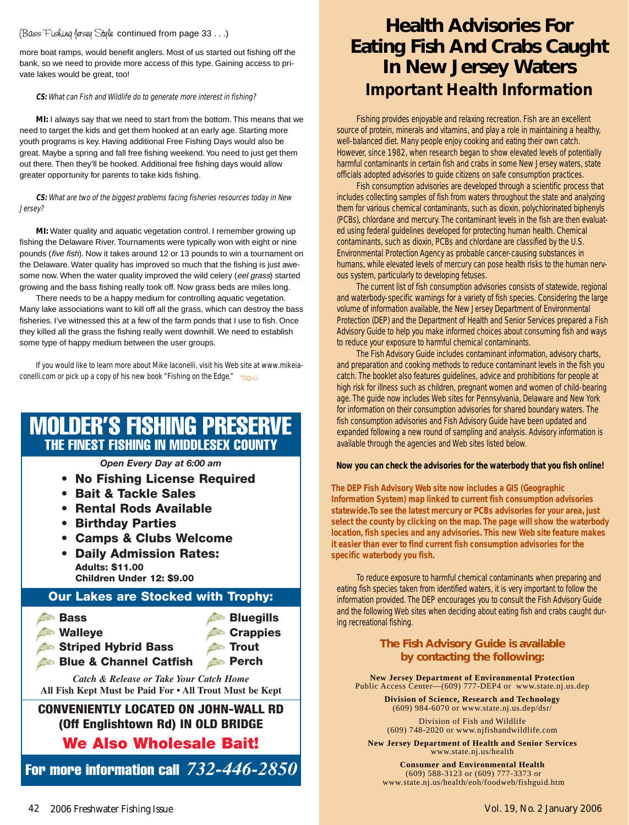#### (Bass Fishing Jersey Style continued from page 33 . . .)

more boat ramps, would benefit anglers. Most of us started out fishing off the bank, so we need to provide more access of this type. Gaining access to private lakes would be great, too!

#### **CS:** What can Fish and Wildlife do to generate more interest in fishing?

**MI:** I always say that we need to start from the bottom. This means that we need to target the kids and get them hooked at an early age. Starting more youth programs is key. Having additional Free Fishing Days would also be great. Maybe a spring and fall free fishing weekend.You need to just get them out there. Then they'll be hooked. Additional free fishing days would allow greater opportunity for parents to take kids fishing.

#### **CS:** What are two of the biggest problems facing fisheries resources today in New Jersey?

**MI:** Water quality and aquatic vegetation control. I remember growing up fishing the Delaware River. Tournaments were typically won with eight or nine pounds (five fish). Now it takes around 12 or 13 pounds to win a tournament on the Delaware. Water quality has improved so much that the fishing is just awesome now. When the water quality improved the wild celery (eel grass) started growing and the bass fishing really took off. Now grass beds are miles long.

There needs to be a happy medium for controlling aquatic vegetation. Many lake associations want to kill off all the grass, which can destroy the bass fisheries. I've witnessed this at a few of the farm ponds that I use to fish. Once they killed all the grass the fishing really went downhill. We need to establish some type of happy medium between the user groups.

If you would like to learn more about Mike Iaconelli, visit his Web site at www.mikeiaconelli.com or pick up a copy of his new book "Fishing on the Edge."  $\sqrt{s_\text{max}}$ 

### MOLDER'S FISHING PRESERVE THE FINEST FISHING IN MIDDLESEX COUNTY

*Open Every Day at 6:00 am*

- **No Fishing License Required**
- **Bait & Tackle Sales**
- **Rental Rods Available**
- **Birthday Parties**
- **Camps & Clubs Welcome**
- **Daily Admission Rates: Adults: \$11.00 Children Under 12: \$9.00**

#### **Our Lakes are Stocked with Trophy:**



## **Health Advisories For Eating Fish And Crabs Caught In New Jersey Waters**  *Important Health Information*

Fishing provides enjoyable and relaxing recreation. Fish are an excellent source of protein, minerals and vitamins, and play a role in maintaining a healthy, well-balanced diet. Many people enjoy cooking and eating their own catch. However, since 1982, when research began to show elevated levels of potentially harmful contaminants in certain fish and crabs in some New Jersey waters, state officials adopted advisories to guide citizens on safe consumption practices.

Fish consumption advisories are developed through a scientific process that includes collecting samples of fish from waters throughout the state and analyzing them for various chemical contaminants, such as dioxin, polychlorinated biphenyls (PCBs), chlordane and mercury. The contaminant levels in the fish are then evaluated using federal guidelines developed for protecting human health. Chemical contaminants, such as dioxin, PCBs and chlordane are classified by the U.S. Environmental Protection Agency as probable cancer-causing substances in humans, while elevated levels of mercury can pose health risks to the human nervous system, particularly to developing fetuses.

The current list of fish consumption advisories consists of statewide, regional and waterbody-specific warnings for a variety of fish species. Considering the large volume of information available, the New Jersey Department of Environmental Protection (DEP) and the Department of Health and Senior Services prepared a Fish Advisory Guide to help you make informed choices about consuming fish and ways to reduce your exposure to harmful chemical contaminants.

The Fish Advisory Guide includes contaminant information, advisory charts, and preparation and cooking methods to reduce contaminant levels in the fish you catch. The booklet also features guidelines, advice and prohibitions for people at high risk for illness such as children, pregnant women and women of child-bearing age. The guide now includes Web sites for Pennsylvania, Delaware and New York for information on their consumption advisories for shared boundary waters. The fish consumption advisories and Fish Advisory Guide have been updated and expanded following a new round of sampling and analysis. Advisory information is available through the agencies and Web sites listed below.

#### **Now you can check the advisories for the waterbody that you fish online!**

**The DEP Fish Advisory Web site now includes a GIS (Geographic Information System) map linked to current fish consumption advisories statewide.To see the latest mercury or PCBs advisories for your area, just select the county by clicking on the map. The page will show the waterbody location, fish species and any advisories. This new Web site feature makes it easier than ever to find current fish consumption advisories for the specific waterbody you fish.**

To reduce exposure to harmful chemical contaminants when preparing and eating fish species taken from identified waters, it is very important to follow the information provided. The DEP encourages you to consult the Fish Advisory Guide and the following Web sites when deciding about eating fish and crabs caught during recreational fishing.

#### **The Fish Advisory Guide is available by contacting the following:**

**New Jersey Department of Environmental Protection** Public Access Center—(609) 777-DEP4 or www.state.nj.us.dep

> **Division of Science, Research and Technology**  (609) 984-6070 or www.state.nj.us.dep/dsr/

Division of Fish and Wildlife (609) 748-2020 or www.njfishandwildlife.com

**New Jersey Department of Health and Senior Services** www.state.nj.us/health

**Consumer and Environmental Health** (609) 588-3123 or (609) 777-3373 or www.state.nj.us/health/eoh/foodweb/fishguid.htm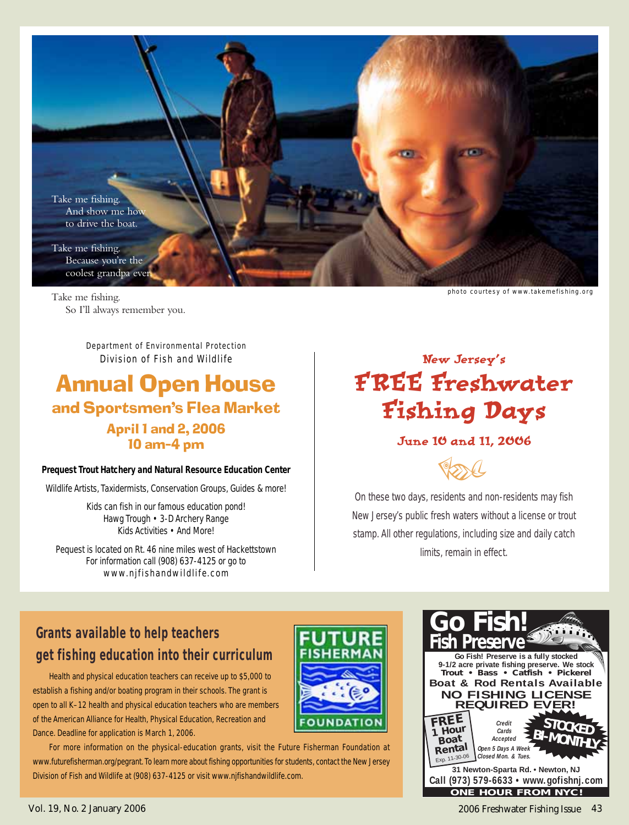

Take me fishing. So I'll always remember you.

> Department of Environmental Protection Division of Fish and Wildlife

## Annual Open House and Sportsmen's Flea Market April 1 and 2, 2006 10 am–4 pm

#### **Prequest Trout Hatchery and Natural Resource Education Center**

Wildlife Artists, Taxidermists, Conservation Groups, Guides & more!

Kids can fish in our famous education pond! Hawg Trough • 3-D Archery Range Kids Activities • And More!

Pequest is located on Rt. 46 nine miles west of Hackettstown For information call (908) 637-4125 or go to www.njfishandwildlife.com

## New Jersey's FREE Freshwater Fishing Days

#### June 10 and 11, 2006

POOL

On these two days, residents and non-residents may fish New Jersey's public fresh waters without a license or trout stamp. All other regulations, including size and daily catch limits, remain in effect.

### **Grants available to help teachers get fishing education into their curriculum**

Health and physical education teachers can receive up to \$5,000 to establish a fishing and/or boating program in their schools. The grant is open to all K–12 health and physical education teachers who are members of the American Alliance for Health, Physical Education, Recreation and Dance. Deadline for application is March 1, 2006.



For more information on the physical-education grants, visit the Future Fisherman Foundation at www.futurefisherman.org/pegrant.To learn more about fishing opportunities for students, contact the New Jersey Division of Fish and Wildlife at (908) 637-4125 or visit www.njfishandwildlife.com.

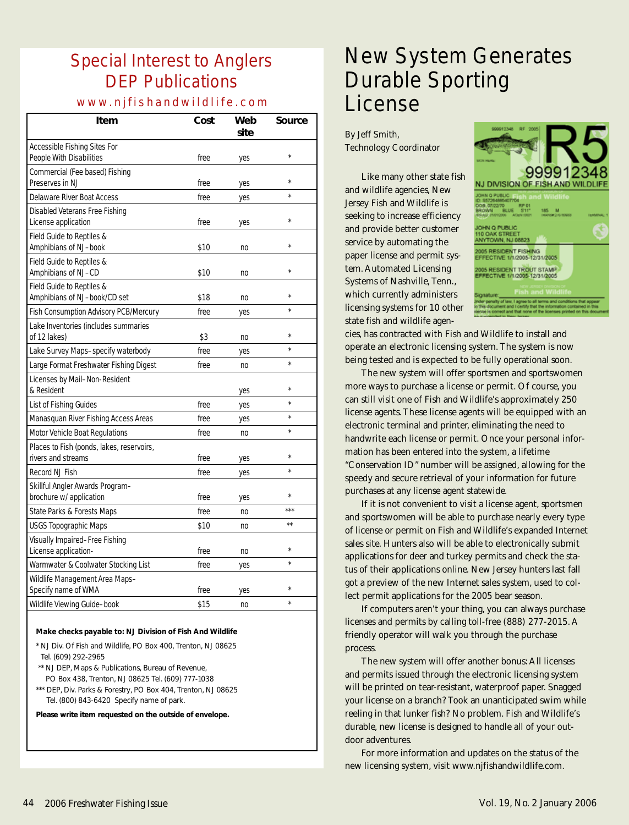## Special Interest to Anglers DEP Publications

#### www.njfishandwildlife.com

| Item                                                            | Cost | Web<br>site    | Source       |
|-----------------------------------------------------------------|------|----------------|--------------|
| Accessible Fishing Sites For<br>People With Disabilities        | free | yes            | $\star$      |
| Commercial (Fee based) Fishing<br>Preserves in NJ               | free | yes            |              |
| Delaware River Boat Access                                      | free | yes            |              |
| Disabled Veterans Free Fishing<br>License application           | free | yes            |              |
| Field Guide to Reptiles &<br>Amphibians of NJ-book              | \$10 | no             |              |
| Field Guide to Reptiles &<br>Amphibians of NJ-CD                | \$10 | n <sub>0</sub> |              |
| Field Guide to Reptiles &<br>Amphibians of NJ-book/CD set       | \$18 | n <sub>0</sub> | ×            |
| Fish Consumption Advisory PCB/Mercury                           | free | yes            | ÷            |
| Lake Inventories (includes summaries<br>of 12 lakes)            | \$3  | n <sub>0</sub> | $\star$      |
| Lake Survey Maps-specify waterbody                              | free | yes            | ÷            |
| Large Format Freshwater Fishing Digest                          | free | no             | $\star$      |
| Licenses by Mail-Non-Resident<br>& Resident                     |      | yes            | $\star$      |
| List of Fishing Guides                                          | free | yes            | $\star$      |
| Manasquan River Fishing Access Areas                            | free | yes            | $\star$      |
| Motor Vehicle Boat Regulations                                  | free | no             | $\star$      |
| Places to Fish (ponds, lakes, reservoirs,<br>rivers and streams | free | yes            | ×            |
| Record NJ Fish                                                  | free | yes            | $\star$      |
| Skillful Angler Awards Program-<br>brochure w/ application      | free | yes            | $\star$      |
| State Parks & Forests Maps                                      | free | n <sub>0</sub> | ***          |
| USGS Topographic Maps                                           | \$10 | no             | $\star\star$ |
| Visually Impaired-Free Fishing<br>License application-          | free | n <sub>0</sub> | $\star$      |
| Warmwater & Coolwater Stocking List                             | free | yes            | $\star$      |
| Wildlife Management Area Maps-<br>Specify name of WMA           | free | yes            |              |
| Wildlife Viewing Guide-book                                     | \$15 | no             | ÷            |

#### *Make checks payable to: NJ Division of Fish And Wildlife*

- \* NJ Div. Of Fish and Wildlife, PO Box 400, Trenton, NJ 08625 Tel. (609) 292-2965
- \*\* NJ DEP, Maps & Publications, Bureau of Revenue,
- PO Box 438, Trenton, NJ 08625 Tel. (609) 777-1038
- \*\*\* DEP, Div. Parks & Forestry, PO Box 404, Trenton, NJ 08625 Tel. (800) 843-6420 Specify name of park.

**Please write item requested on the outside of envelope.**

## New System Generates Durable Sporting License

By Jeff Smith, Technology Coordinator

Like many other state fish and wildlife agencies, New Jersey Fish and Wildlife is seeking to increase efficiency and provide better customer service by automating the paper license and permit system. Automated Licensing Systems of Nashville, Tenn., which currently administers licensing systems for 10 other state fish and wildlife agen-



cies, has contracted with Fish and Wildlife to install and operate an electronic licensing system. The system is now being tested and is expected to be fully operational soon.

The new system will offer sportsmen and sportswomen more ways to purchase a license or permit. Of course, you can still visit one of Fish and Wildlife's approximately 250 license agents. These license agents will be equipped with an electronic terminal and printer, eliminating the need to handwrite each license or permit. Once your personal information has been entered into the system, a lifetime "Conservation ID" number will be assigned, allowing for the speedy and secure retrieval of your information for future purchases at any license agent statewide.

If it is not convenient to visit a license agent, sportsmen and sportswomen will be able to purchase nearly every type of license or permit on Fish and Wildlife's expanded Internet sales site. Hunters also will be able to electronically submit applications for deer and turkey permits and check the status of their applications online. New Jersey hunters last fall got a preview of the new Internet sales system, used to collect permit applications for the 2005 bear season.

If computers aren't your thing, you can always purchase licenses and permits by calling toll-free (888) 277-2015. A friendly operator will walk you through the purchase process.

The new system will offer another bonus: All licenses and permits issued through the electronic licensing system will be printed on tear-resistant, waterproof paper. Snagged your license on a branch? Took an unanticipated swim while reeling in that lunker fish? No problem. Fish and Wildlife's durable, new license is designed to handle all of your outdoor adventures.

For more information and updates on the status of the new licensing system, visit www.njfishandwildlife.com.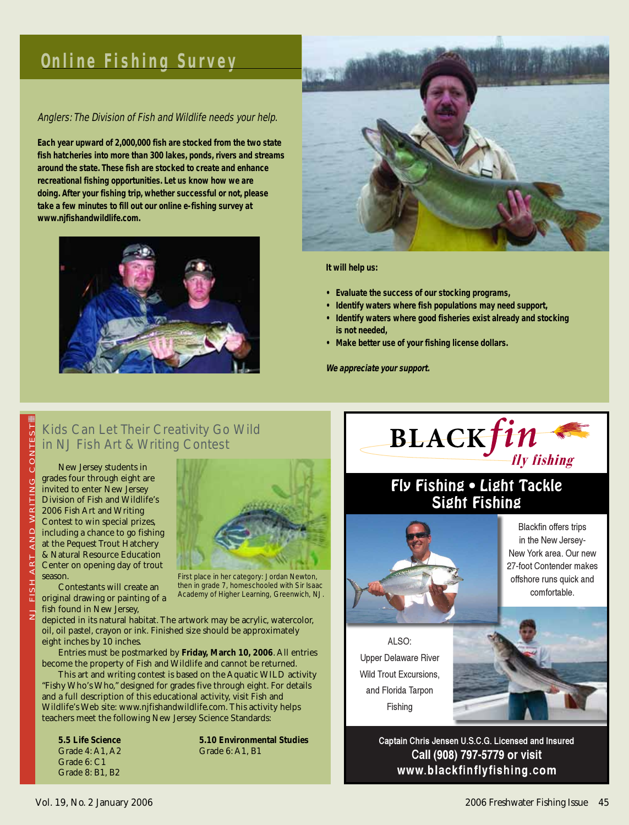## **Online Fishing Survey**

#### Anglers: The Division of Fish and Wildlife needs your help.

**Each year upward of 2,000,000 fish are stocked from the two state fish hatcheries into more than 300 lakes, ponds, rivers and streams around the state. These fish are stocked to create and enhance recreational fishing opportunities. Let us know how we are doing. After your fishing trip, whether successful or not, please take a few minutes to fill out our online e-fishing survey at www.njfishandwildlife.com.**





#### **It will help us:**

- **Evaluate the success of our stocking programs,**
- **Identify waters where fish populations may need support,**
- **Identify waters where good fisheries exist already and stocking is not needed,**
- **Make better use of your fishing license dollars.**

**We appreciate your support.**

#### Kids Can Let Their Creativity Go Wild in NJ Fish Art & Writing Contest

NJ FISH ART AND WRITING CONTEST AND WRITING ART FISH  $\overline{z}$ 

i

New Jersey students in grades four through eight are invited to enter New Jersey Division of Fish and Wildlife's 2006 Fish Art and Writing Contest to win special prizes, including a chance to go fishing at the Pequest Trout Hatchery & Natural Resource Education Center on opening day of trout season. Contestants will create an

original drawing or painting of a



First place in her category: Jordan Newton, then in grade 7, homeschooled with Sir Isaac Academy of Higher Learning, Greenwich, NJ.

fish found in New Jersey, depicted in its natural habitat. The artwork may be acrylic, watercolor, oil, oil pastel, crayon or ink. Finished size should be approximately eight inches by 10 inches.

Entries must be postmarked by **Friday, March 10, 2006**. All entries become the property of Fish and Wildlife and cannot be returned.

This art and writing contest is based on the Aquatic WILD activity "Fishy Who's Who," designed for grades five through eight. For details and a full description of this educational activity, visit Fish and Wildlife's Web site: www.njfishandwildlife.com. This activity helps teachers meet the following New Jersey Science Standards:

Grade 6: C1 Grade 8: B1, B2

**5.5 Life Science 5.10 Environmental Studies** Grade 4: A1, A2 Grade 6: A1, B1



### Fly Fishing . Light Tackle Sight Fishing



Blackfin offers trips in the New Jersev-New York area. Our new 27-foot Contender makes offshore runs quick and comfortable.

 $AI$  SO: Upper Delaware River Wild Trout Excursions, and Florida Tarpon Fishing

Captain Chris Jensen U.S.C.G. Licensed and Insured Call (908) 797-5779 or visit www.blackfinflyfishing.com